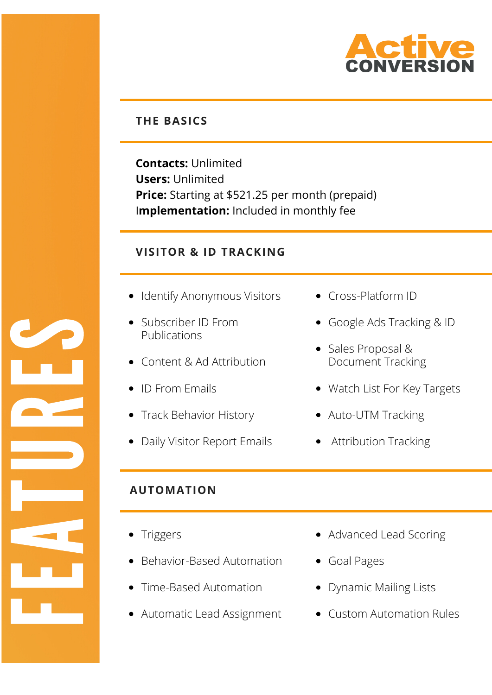

## **THE BASICS**

**Contacts:** Unlimited **Users:** Unlimited **Price:** Starting at \$521.25 per month (prepaid) I**mplementation:** Included in monthly fee

## **VISITOR & ID TRACKING**

- Identify Anonymous Visitors
- Subscriber ID From Publications
- Content & Ad Attribution
- ID From Emails
- Track Behavior History
- Daily Visitor Report Emails
- Cross-Platform ID
- Google Ads Tracking & ID
- Sales Proposal & Document Tracking
- Watch List For Key Targets
- Auto-UTM Tracking
- Attribution Tracking

# **AUTOMATION**

Triggers

**Francis** 

**Expertise** 

A

<u>The Second</u>

United States

**RE** 

E

**S** 

- Behavior-Based Automation
- Time-Based Automation
- Automatic Lead Assignment
- Advanced Lead Scoring
- Goal Pages
- Dynamic Mailing Lists
- Custom Automation Rules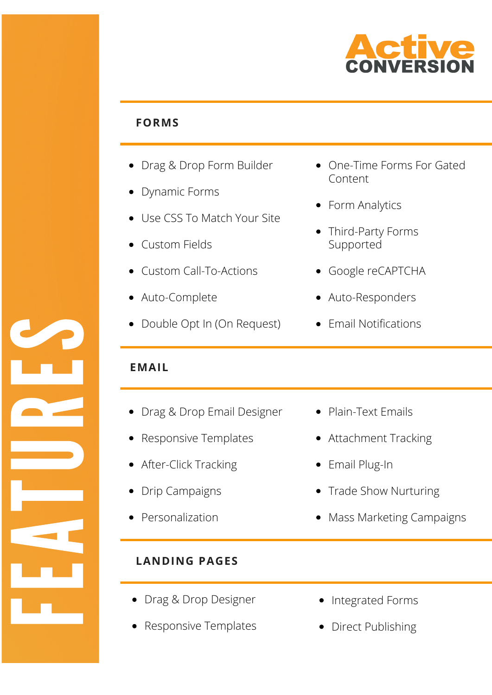

### **FORMS**

- Drag & Drop Form Builder
- Dynamic Forms
- Use CSS To Match Your Site
- Custom Fields
- Custom Call-To-Actions
- Auto-Complete
- Double Opt In (On Request)
- One-Time Forms For Gated Content
- Form Analytics
- Third-Party Forms Supported
- Google reCAPTCHA
- Auto-Responders
- Email Notifications

## **EMAIL**

- Drag & Drop Email Designer
- Responsive Templates
- After-Click Tracking
- Drip Campaigns
- Personalization

**Francis** 

**Expertise** 

A

<u>The Co</u>

United States

**RE** 

E

S

- **LANDING PAGES**
- Drag & Drop Designer
- Responsive Templates
- Plain-Text Emails
- Attachment Tracking
- Email Plug-In
- Trade Show Nurturing
- Mass Marketing Campaigns

- Integrated Forms
- Direct Publishing